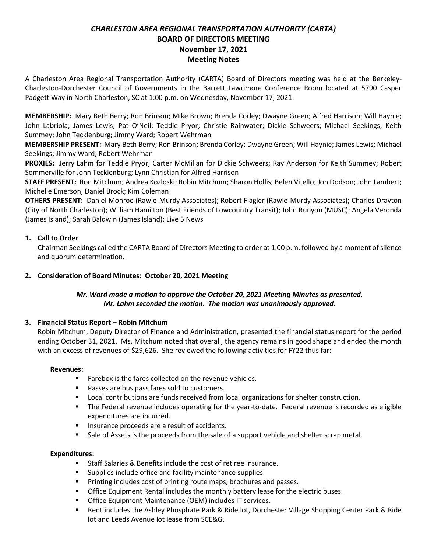# *CHARLESTON AREA REGIONAL TRANSPORTATION AUTHORITY (CARTA)* **BOARD OF DIRECTORS MEETING November 17, 2021 Meeting Notes**

A Charleston Area Regional Transportation Authority (CARTA) Board of Directors meeting was held at the Berkeley-Charleston-Dorchester Council of Governments in the Barrett Lawrimore Conference Room located at 5790 Casper Padgett Way in North Charleston, SC at 1:00 p.m. on Wednesday, November 17, 2021.

**MEMBERSHIP:** Mary Beth Berry; Ron Brinson; Mike Brown; Brenda Corley; Dwayne Green; Alfred Harrison; Will Haynie; John Labriola; James Lewis; Pat O'Neil; Teddie Pryor; Christie Rainwater; Dickie Schweers; Michael Seekings; Keith Summey; John Tecklenburg; Jimmy Ward; Robert Wehrman

**MEMBERSHIP PRESENT:** Mary Beth Berry; Ron Brinson; Brenda Corley; Dwayne Green; Will Haynie; James Lewis; Michael Seekings; Jimmy Ward; Robert Wehrman

**PROXIES:** Jerry Lahm for Teddie Pryor; Carter McMillan for Dickie Schweers; Ray Anderson for Keith Summey; Robert Sommerville for John Tecklenburg; Lynn Christian for Alfred Harrison

**STAFF PRESENT:** Ron Mitchum; Andrea Kozloski; Robin Mitchum; Sharon Hollis; Belen Vitello; Jon Dodson; John Lambert; Michelle Emerson; Daniel Brock; Kim Coleman

**OTHERS PRESENT:** Daniel Monroe (Rawle-Murdy Associates); Robert Flagler (Rawle-Murdy Associates); Charles Drayton (City of North Charleston); William Hamilton (Best Friends of Lowcountry Transit); John Runyon (MUSC); Angela Veronda (James Island); Sarah Baldwin (James Island); Live 5 News

# **1. Call to Order**

Chairman Seekings called the CARTA Board of Directors Meeting to order at 1:00 p.m. followed by a moment of silence and quorum determination.

### **2. Consideration of Board Minutes: October 20, 2021 Meeting**

## *Mr. Ward made a motion to approve the October 20, 2021 Meeting Minutes as presented. Mr. Lahm seconded the motion. The motion was unanimously approved.*

#### **3. Financial Status Report – Robin Mitchum**

Robin Mitchum, Deputy Director of Finance and Administration, presented the financial status report for the period ending October 31, 2021. Ms. Mitchum noted that overall, the agency remains in good shape and ended the month with an excess of revenues of \$29,626. She reviewed the following activities for FY22 thus far:

#### **Revenues:**

- Farebox is the fares collected on the revenue vehicles.
- Passes are bus pass fares sold to customers.
- Local contributions are funds received from local organizations for shelter construction.
- The Federal revenue includes operating for the year-to-date. Federal revenue is recorded as eligible expenditures are incurred.
- Insurance proceeds are a result of accidents.
- Sale of Assets is the proceeds from the sale of a support vehicle and shelter scrap metal.

#### **Expenditures:**

- Staff Salaries & Benefits include the cost of retiree insurance.
- Supplies include office and facility maintenance supplies.
- Printing includes cost of printing route maps, brochures and passes.
- **Office Equipment Rental includes the monthly battery lease for the electric buses.**
- Office Equipment Maintenance (OEM) includes IT services.
- Rent includes the Ashley Phosphate Park & Ride lot, Dorchester Village Shopping Center Park & Ride lot and Leeds Avenue lot lease from SCE&G.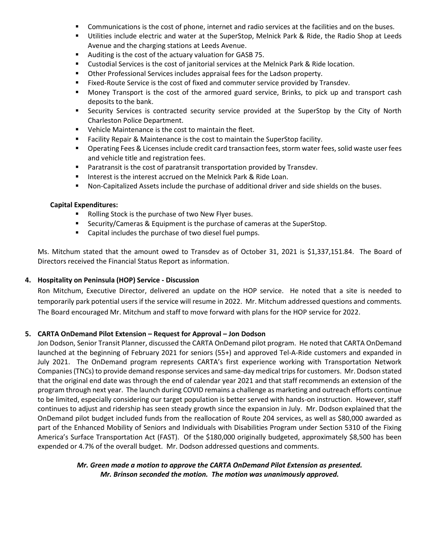- Communications is the cost of phone, internet and radio services at the facilities and on the buses.
- Utilities include electric and water at the SuperStop, Melnick Park & Ride, the Radio Shop at Leeds Avenue and the charging stations at Leeds Avenue.
- Auditing is the cost of the actuary valuation for GASB 75.
- **EXECUTE:** Custodial Services is the cost of janitorial services at the Melnick Park & Ride location.
- Other Professional Services includes appraisal fees for the Ladson property.
- Fixed-Route Service is the cost of fixed and commuter service provided by Transdev.
- Money Transport is the cost of the armored guard service, Brinks, to pick up and transport cash deposits to the bank.
- **EXECUTE:** Security Services is contracted security service provided at the SuperStop by the City of North Charleston Police Department.
- Vehicle Maintenance is the cost to maintain the fleet.
- Facility Repair & Maintenance is the cost to maintain the SuperStop facility.
- Operating Fees & Licenses include credit card transaction fees, storm water fees, solid waste user fees and vehicle title and registration fees.
- Paratransit is the cost of paratransit transportation provided by Transdev.
- Interest is the interest accrued on the Melnick Park & Ride Loan.
- Non-Capitalized Assets include the purchase of additional driver and side shields on the buses.

#### **Capital Expenditures:**

- Rolling Stock is the purchase of two New Flyer buses.
- Security/Cameras & Equipment is the purchase of cameras at the SuperStop.
- Capital includes the purchase of two diesel fuel pumps.

Ms. Mitchum stated that the amount owed to Transdev as of October 31, 2021 is \$1,337,151.84. The Board of Directors received the Financial Status Report as information.

#### **4. Hospitality on Peninsula (HOP) Service - Discussion**

Ron Mitchum, Executive Director, delivered an update on the HOP service. He noted that a site is needed to temporarily park potential users if the service will resume in 2022. Mr. Mitchum addressed questions and comments. The Board encouraged Mr. Mitchum and staff to move forward with plans for the HOP service for 2022.

#### **5. CARTA OnDemand Pilot Extension – Request for Approval – Jon Dodson**

Jon Dodson, Senior Transit Planner, discussed the CARTA OnDemand pilot program. He noted that CARTA OnDemand launched at the beginning of February 2021 for seniors (55+) and approved Tel-A-Ride customers and expanded in July 2021. The OnDemand program represents CARTA's first experience working with Transportation Network Companies (TNCs) to provide demand response services and same-day medical trips for customers. Mr. Dodson stated that the original end date was through the end of calendar year 2021 and that staff recommends an extension of the program through next year. The launch during COVID remains a challenge as marketing and outreach efforts continue to be limited, especially considering our target population is better served with hands-on instruction. However, staff continues to adjust and ridership has seen steady growth since the expansion in July. Mr. Dodson explained that the OnDemand pilot budget included funds from the reallocation of Route 204 services, as well as \$80,000 awarded as part of the Enhanced Mobility of Seniors and Individuals with Disabilities Program under Section 5310 of the Fixing America's Surface Transportation Act (FAST). Of the \$180,000 originally budgeted, approximately \$8,500 has been expended or 4.7% of the overall budget. Mr. Dodson addressed questions and comments.

### *Mr. Green made a motion to approve the CARTA OnDemand Pilot Extension as presented. Mr. Brinson seconded the motion. The motion was unanimously approved.*